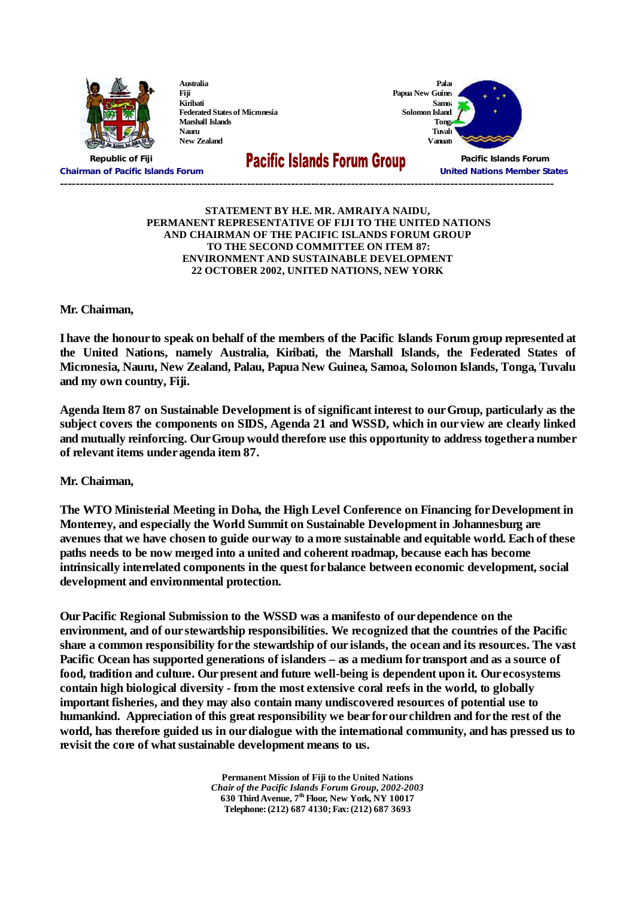

**Australia Fiji Kiribati Federated States of Micronesia Marshall Islands Nauru New Zealand**

**Samoa Solomon Island Tonga Tuvalu**



**Chairman of Pacific Islands Forum United Nations Member States ----------------------------------------------------------------------------------------------------------------------------**

**Republic of Fiji Pacific Islands Forum**

## **STATEMENT BY H.E. MR. AMRAIYA NAIDU, PERMANENT REPRESENTATIVE OF FIJI TO THE UNITED NATIONS AND CHAIRMAN OF THE PACIFIC ISLANDS FORUM GROUP TO THE SECOND COMMITTEE ON ITEM 87: ENVIRONMENT AND SUSTAINABLE DEVELOPMENT 22 OCTOBER 2002, UNITED NATIONS, NEW YORK**

**Mr. Chairman,**

I have the honour to speak on behalf of the members of the Pacific Islands Forum group represented at **the United Nations, namely Australia, Kiribati, the Marshall Islands, the Federated States of Micronesia, Nauru, New Zealand, Palau, Papua New Guinea, Samoa, Solomon Islands, Tonga, Tuvalu and my own country, Fiji.**

**Agenda Item 87 on Sustainable Development is of significant interest to our Group, particularly as the subject covers the components on SIDS, Agenda 21 and WSSD, which in our view are clearly linked and mutually reinforcing. Our Group would therefore use this opportunity to address together a number of relevant items under agenda item 87.**

**Mr. Chairman,**

**The WTO Ministerial Meeting in Doha, the High Level Conference on Financing for Development in Monterrey, and especially the World Summit on Sustainable Development in Johannesburg are** avenues that we have chosen to guide our way to a more sustainable and equitable world. Each of these **paths needs to be now merged into a united and coherent roadmap, because each has become intrinsically interrelated components in the quest for balance between economic development, social development and environmental protection.**

**Our Pacific Regional Submission to the WSSD was a manifesto of our dependence on the environment, and of our stewardship responsibilities. We recognized that the countries of the Pacific share a common responsibility for the stewardship of our islands, the ocean and its resources. The vast Pacific Ocean has supported generations of islanders–as a medium for transport and as a source of food, tradition and culture. Our present and future well-being is dependent upon it. Our ecosystems contain high biological diversity - from the most extensive coral reefs in the world, to globally important fisheries, and they may also contain many undiscovered resources of potential use to humankind. Appreciation of this great responsibility we bear for our children and for the rest of the world, has therefore guided us in our dialogue with the international community, and has pressed us to revisit the core of what sustainable development means to us.**

> **Permanent Mission of Fiji to the United Nations** *Chair of the Pacific Islands Forum Group, 2002-2003* **630 Third Avenue, 7 th Floor, New York, NY 10017 Telephone: (212) 687 4130; Fax: (212) 687 3693**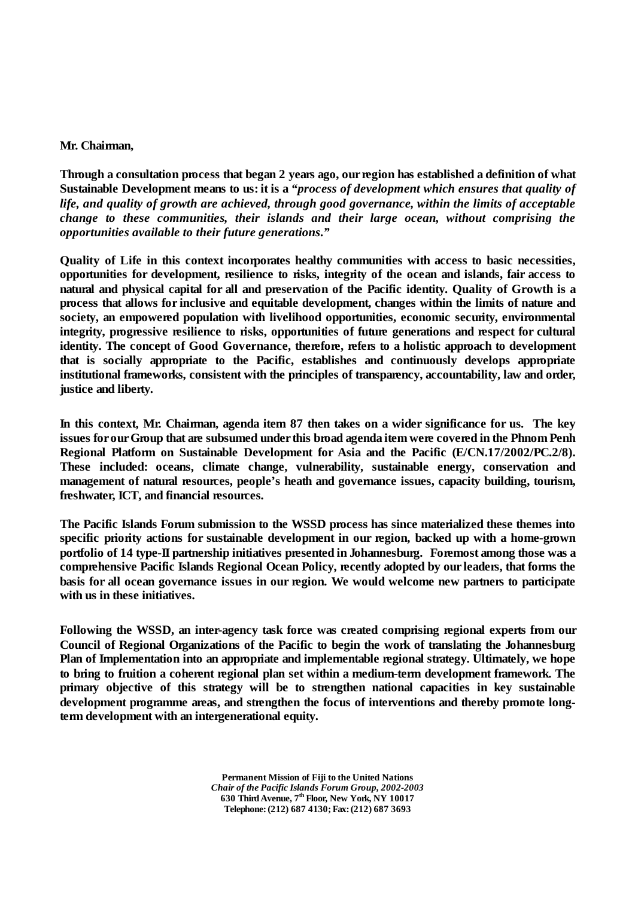## **Mr. Chairman,**

**Through a consultation process that began 2 years ago, our region has established a definition of what Sustainable Development means to us: it is a** *"process of development which ensures that quality of life, and quality of growth are achieved, through good governance, within the limits of acceptable change to these communities, their islands and their large ocean, without comprising the opportunities available to their future generations."*

**Quality of Life in this context incorporates healthy communities with access to basic necessities, opportunities for development, resilience to risks, integrity of the ocean and islands, fair access to natural and physical capital for all and preservation of the Pacific identity. Quality of Growth is a process that allows for inclusive and equitable development, changes within the limits of nature and society, an empowered population with livelihood opportunities, economic security, environmental integrity, progressive resilience to risks, opportunities of future generations and respect for cultural identity. The concept of Good Governance, therefore, refers to a holistic approach to development that is socially appropriate to the Pacific, establishes and continuously develops appropriate institutional frameworks, consistent with the principles of transparency, accountability, law and order, justice and liberty.**

**In this context, Mr. Chairman, agenda item 87 then takes on a wider significance for us. The key issues for our Group that are subsumed under this broad agenda item were covered in the Phnom Penh Regional Platform on Sustainable Development for Asia and the Pacific (E/CN.17/2002/PC.2/8). These included: oceans, climate change, vulnerability, sustainable energy, conservation and management of natural resources, people's heath and governance issues, capacity building, tourism, freshwater, ICT, and financial resources.**

**The Pacific Islands Forum submission to the WSSD process has since materialized these themes into specific priority actions for sustainable development in our region, backed up with a home-grown portfolio of 14 type-II partnership initiatives presented in Johannesburg. Foremost among those was a comprehensive Pacific Islands Regional Ocean Policy, recently adopted by our leaders, that forms the basis for all ocean governance issues in our region. We would welcome new partners to participate with us in these initiatives.**

**Following the WSSD, an inter-agency task force was created comprising regional experts from our Council of Regional Organizations of the Pacific to begin the work of translating the Johannesburg Plan of Implementation into an appropriate and implementable regional strategy. Ultimately, we hope to bring to fruition a coherent regional plan set within a medium-term development framework. The primary objective of this strategy will be to strengthen national capacities in key sustainable development programme areas, and strengthen the focus of interventions and thereby promote longterm development with an intergenerational equity.**

> **Permanent Mission of Fiji to the United Nations** *Chair of the Pacific Islands Forum Group, 2002-2003* **630 Third Avenue, 7 th Floor, New York, NY 10017 Telephone: (212) 687 4130; Fax: (212) 687 3693**